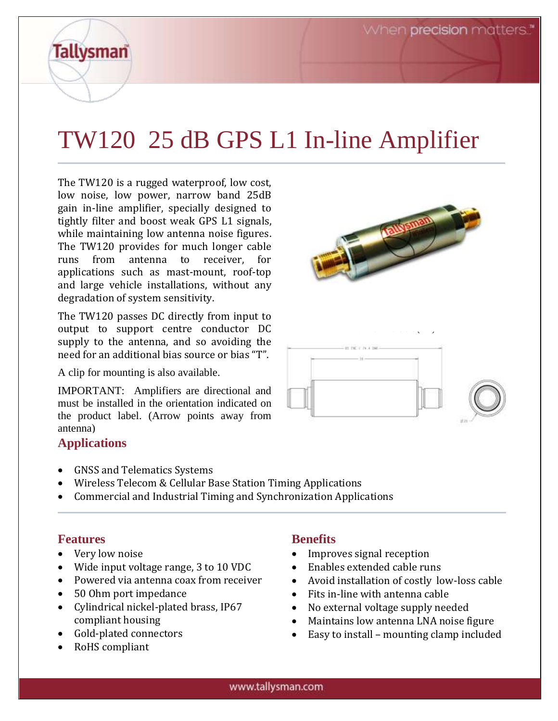# TW120 25 dB GPS L1 In-line Amplifier

The TW120 is a rugged waterproof, low cost, low noise, low power, narrow band 25dB gain in-line amplifier, specially designed to tightly filter and boost weak GPS L1 signals, while maintaining low antenna noise figures. The TW120 provides for much longer cable runs from antenna to receiver, for applications such as mast-mount, roof-top and large vehicle installations, without any degradation of system sensitivity.

The TW120 passes DC directly from input to output to support centre conductor DC supply to the antenna, and so avoiding the need for an additional bias source or bias "T".

A clip for mounting is also available.

IMPORTANT: Amplifiers are directional and must be installed in the orientation indicated on the product label. (Arrow points away from antenna)

### **Applications**

**Tallysman** 

- GNSS and Telematics Systems
- Wireless Telecom & Cellular Base Station Timing Applications
- Commercial and Industrial Timing and Synchronization Applications

### **Features**

- Very low noise
- Wide input voltage range, 3 to 10 VDC
- Powered via antenna coax from receiver
- 50 Ohm port impedance
- Cylindrical nickel-plated brass, IP67 compliant housing
- Gold-plated connectors
- RoHS compliant

### **Benefits**

- Improves signal reception
- Enables extended cable runs
- Avoid installation of costly low-loss cable
- Fits in-line with antenna cable
- No external voltage supply needed

TW120 Dimensions (mm)

- Maintains low antenna LNA noise figure
- Easy to install mounting clamp included